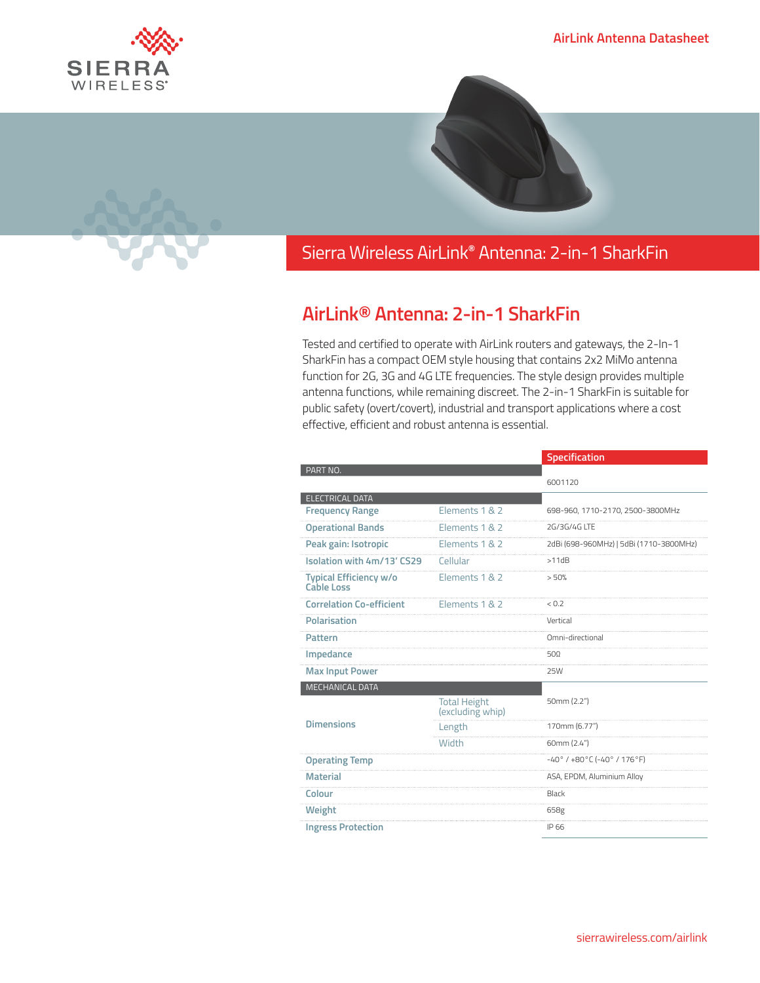



## Sierra Wireless **EMBEDDED MODULES HL SERIES** AirLink**®** Antenna: 2-in-1 SharkFin

## **AirLink® Antenna: 2-in-1 SharkFin**

Tested and certified to operate with AirLink routers and gateways, the 2-In-1 SharkFin has a compact OEM style housing that contains 2x2 MiMo antenna function for 2G, 3G and 4G LTE frequencies. The style design provides multiple antenna functions, while remaining discreet. The 2-in-1 SharkFin is suitable for public safety (overt/covert), industrial and transport applications where a cost effective, efficient and robust antenna is essential.

|                                                    |                                         | Specification                                            |
|----------------------------------------------------|-----------------------------------------|----------------------------------------------------------|
| PART NO.                                           |                                         |                                                          |
|                                                    |                                         | 6001120                                                  |
| <b>ELECTRICAL DATA</b>                             |                                         |                                                          |
| <b>Frequency Range</b>                             | Elements 1 & 2                          | 698-960, 1710-2170, 2500-3800MHz                         |
| <b>Operational Bands</b>                           | Elements 1 & 2                          | 2G/3G/4G LTF                                             |
| Peak gain: Isotropic                               | Elements 1 & 2                          | 2dBi (698-960MHz)   5dBi (1710-3800MHz)                  |
| Isolation with 4m/13' CS29                         | Cellular                                | >11dB                                                    |
| <b>Typical Efficiency w/o</b><br><b>Cable Loss</b> | Elements 1 & 2                          | > 50%                                                    |
| <b>Correlation Co-efficient</b>                    | Elements 1 & 2                          | < 0.2                                                    |
| <b>Polarisation</b>                                |                                         | Vertical                                                 |
| Pattern                                            |                                         | Omni-directional                                         |
| Impedance                                          |                                         | 50Ω                                                      |
| <b>Max Input Power</b>                             |                                         | 25W                                                      |
| MECHANICAL DATA                                    |                                         |                                                          |
| <b>Dimensions</b>                                  | <b>Total Height</b><br>(excluding whip) | 50mm (2.2")                                              |
|                                                    | Length                                  | 170mm (6.77")                                            |
|                                                    | <b>Width</b>                            | 60mm (2.4")                                              |
| <b>Operating Temp</b>                              |                                         | $-40^{\circ}$ / $+80^{\circ}$ C ( $-40^{\circ}$ / 176°F) |
| <b>Material</b>                                    |                                         | ASA, EPDM, Aluminium Alloy                               |
| Colour                                             |                                         | Black                                                    |
| Weight                                             |                                         | 658g                                                     |
| <b>Ingress Protection</b>                          |                                         | IP 66                                                    |